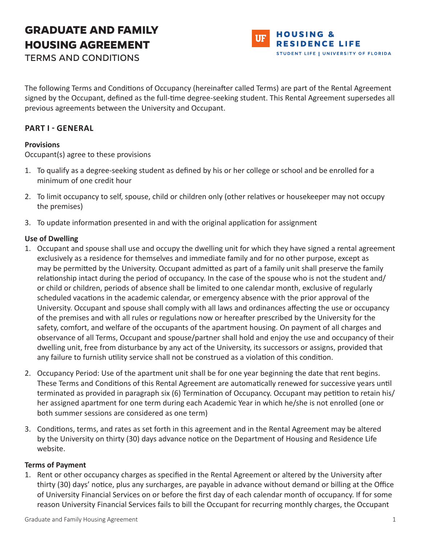# **GRADUATE AND FAMILY HOUSING AGREEMENT**



TERMS AND CONDITIONS

The following Terms and Conditions of Occupancy (hereinafter called Terms) are part of the Rental Agreement signed by the Occupant, defined as the full-time degree-seeking student. This Rental Agreement supersedes all previous agreements between the University and Occupant.

# **PART I - GENERAL**

## **Provisions**

Occupant(s) agree to these provisions

- 1. To qualify as a degree-seeking student as defined by his or her college or school and be enrolled for a minimum of one credit hour
- 2. To limit occupancy to self, spouse, child or children only (other relatives or housekeeper may not occupy the premises)
- 3. To update information presented in and with the original application for assignment

## **Use of Dwelling**

- 1. Occupant and spouse shall use and occupy the dwelling unit for which they have signed a rental agreement exclusively as a residence for themselves and immediate family and for no other purpose, except as may be permitted by the University. Occupant admitted as part of a family unit shall preserve the family relationship intact during the period of occupancy. In the case of the spouse who is not the student and/ or child or children, periods of absence shall be limited to one calendar month, exclusive of regularly scheduled vacations in the academic calendar, or emergency absence with the prior approval of the University. Occupant and spouse shall comply with all laws and ordinances affecting the use or occupancy of the premises and with all rules or regulations now or hereafter prescribed by the University for the safety, comfort, and welfare of the occupants of the apartment housing. On payment of all charges and observance of all Terms, Occupant and spouse/partner shall hold and enjoy the use and occupancy of their dwelling unit, free from disturbance by any act of the University, its successors or assigns, provided that any failure to furnish utility service shall not be construed as a violation of this condition.
- 2. Occupancy Period: Use of the apartment unit shall be for one year beginning the date that rent begins. These Terms and Conditions of this Rental Agreement are automatically renewed for successive years until terminated as provided in paragraph six (6) Termination of Occupancy. Occupant may petition to retain his/ her assigned apartment for one term during each Academic Year in which he/she is not enrolled (one or both summer sessions are considered as one term)
- 3. Conditions, terms, and rates as set forth in this agreement and in the Rental Agreement may be altered by the University on thirty (30) days advance notice on the Department of Housing and Residence Life website.

## **Terms of Payment**

1. Rent or other occupancy charges as specified in the Rental Agreement or altered by the University after thirty (30) days' notice, plus any surcharges, are payable in advance without demand or billing at the Office of University Financial Services on or before the first day of each calendar month of occupancy. If for some reason University Financial Services fails to bill the Occupant for recurring monthly charges, the Occupant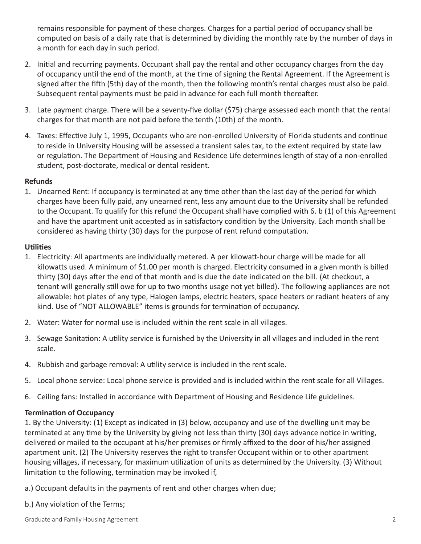remains responsible for payment of these charges. Charges for a partial period of occupancy shall be computed on basis of a daily rate that is determined by dividing the monthly rate by the number of days in a month for each day in such period.

- 2. Initial and recurring payments. Occupant shall pay the rental and other occupancy charges from the day of occupancy until the end of the month, at the time of signing the Rental Agreement. If the Agreement is signed after the fifth (5th) day of the month, then the following month's rental charges must also be paid. Subsequent rental payments must be paid in advance for each full month thereafter.
- 3. Late payment charge. There will be a seventy-five dollar (\$75) charge assessed each month that the rental charges for that month are not paid before the tenth (10th) of the month.
- 4. Taxes: Effective July 1, 1995, Occupants who are non-enrolled University of Florida students and continue to reside in University Housing will be assessed a transient sales tax, to the extent required by state law or regulation. The Department of Housing and Residence Life determines length of stay of a non-enrolled student, post-doctorate, medical or dental resident.

#### **Refunds**

1. Unearned Rent: If occupancy is terminated at any time other than the last day of the period for which charges have been fully paid, any unearned rent, less any amount due to the University shall be refunded to the Occupant. To qualify for this refund the Occupant shall have complied with 6. b (1) of this Agreement and have the apartment unit accepted as in satisfactory condition by the University. Each month shall be considered as having thirty (30) days for the purpose of rent refund computation.

#### **Utilities**

- 1. Electricity: All apartments are individually metered. A per kilowatt-hour charge will be made for all kilowatts used. A minimum of \$1.00 per month is charged. Electricity consumed in a given month is billed thirty (30) days after the end of that month and is due the date indicated on the bill. (At checkout, a tenant will generally still owe for up to two months usage not yet billed). The following appliances are not allowable: hot plates of any type, Halogen lamps, electric heaters, space heaters or radiant heaters of any kind. Use of "NOT ALLOWABLE" items is grounds for termination of occupancy.
- 2. Water: Water for normal use is included within the rent scale in all villages.
- 3. Sewage Sanitation: A utility service is furnished by the University in all villages and included in the rent scale.
- 4. Rubbish and garbage removal: A utility service is included in the rent scale.
- 5. Local phone service: Local phone service is provided and is included within the rent scale for all Villages.
- 6. Ceiling fans: Installed in accordance with Department of Housing and Residence Life guidelines.

#### **Termination of Occupancy**

1. By the University: (1) Except as indicated in (3) below, occupancy and use of the dwelling unit may be terminated at any time by the University by giving not less than thirty (30) days advance notice in writing, delivered or mailed to the occupant at his/her premises or firmly affixed to the door of his/her assigned apartment unit. (2) The University reserves the right to transfer Occupant within or to other apartment housing villages, if necessary, for maximum utilization of units as determined by the University. (3) Without limitation to the following, termination may be invoked if,

- a.) Occupant defaults in the payments of rent and other charges when due;
- b.) Any violation of the Terms;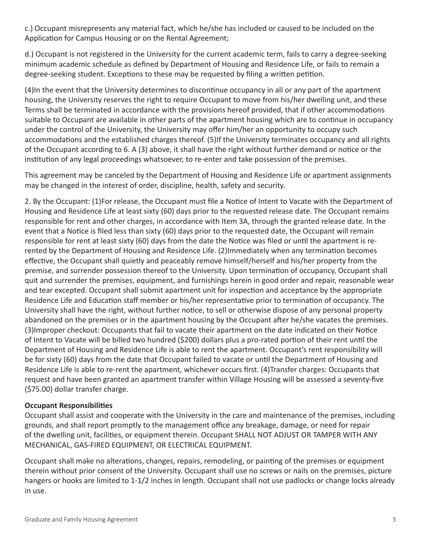c.) Occupant misrepresents any material fact, which he/she has included or caused to be included on the Application for Campus Housing or on the Rental Agreement;

d.) Occupant is not registered in the University for the current academic term, fails to carry a degree-seeking minimum academic schedule as defined by Department of Housing and Residence Life, or fails to remain a degree-seeking student. Exceptions to these may be requested by filing a written petition.

(4)In the event that the University determines to discontinue occupancy in all or any part of the apartment housing, the University reserves the right to require Occupant to move from his/her dwelling unit, and these Terms shall be terminated in accordance with the provisions hereof provided, that if other accommodations suitable to Occupant are available in other parts of the apartment housing which are to continue in occupancy under the control of the University, the University may offer him/her an opportunity to occupy such accommodations and the established charges thereof. (5)If the University terminates occupancy and all rights of the Occupant according to 6. A (3) above, it shall have the right without further demand or notice or the institution of any legal proceedings whatsoever, to re-enter and take possession of the premises.

This agreement may be canceled by the Department of Housing and Residence Life or apartment assignments may be changed in the interest of order, discipline, health, safety and security.

2. By the Occupant: (1)For release, the Occupant must file a Notice of Intent to Vacate with the Department of Housing and Residence Life at least sixty (60) days prior to the requested release date. The Occupant remains responsible for rent and other charges, in accordance with Item 3A, through the granted release date. In the event that a Notice is filed less than sixty (60) days prior to the requested date, the Occupant will remain responsible for rent at least sixty (60) days from the date the Notice was filed or until the apartment is rerented by the Department of Housing and Residence Life. (2)Immediately when any termination becomes effective, the Occupant shall quietly and peaceably remove himself/herself and his/her property from the premise, and surrender possession thereof to the University. Upon termination of occupancy, Occupant shall quit and surrender the premises, equipment, and furnishings herein in good order and repair, reasonable wear and tear excepted. Occupant shall submit apartment unit for inspection and acceptance by the appropriate Residence Life and Education staff member or his/her representative prior to termination of occupancy. The University shall have the right, without further notice, to sell or otherwise dispose of any personal property abandoned on the premises or in the apartment housing by the Occupant after he/she vacates the premises. (3)Improper checkout: Occupants that fail to vacate their apartment on the date indicated on their Notice of Intent to Vacate will be billed two hundred (\$200) dollars plus a pro-rated portion of their rent until the Department of Housing and Residence Life is able to rent the apartment. Occupant's rent responsibility will be for sixty (60) days from the date that Occupant failed to vacate or until the Department of Housing and Residence Life is able to re-rent the apartment, whichever occurs first. (4)Transfer charges: Occupants that request and have been granted an apartment transfer within Village Housing will be assessed a seventy-five (\$75.00) dollar transfer charge.

#### **Occupant Responsibilities**

Occupant shall assist and cooperate with the University in the care and maintenance of the premises, including grounds, and shall report promptly to the management office any breakage, damage, or need for repair of the dwelling unit, facilities, or equipment therein. Occupant SHALL NOT ADJUST OR TAMPER WITH ANY MECHANICAL, GAS-FIRED EQUIPMENT, OR ELECTRICAL EQUIPMENT.

Occupant shall make no alterations, changes, repairs, remodeling, or painting of the premises or equipment therein without prior consent of the University. Occupant shall use no screws or nails on the premises, picture hangers or hooks are limited to 1-1/2 inches in length. Occupant shall not use padlocks or change locks already in use.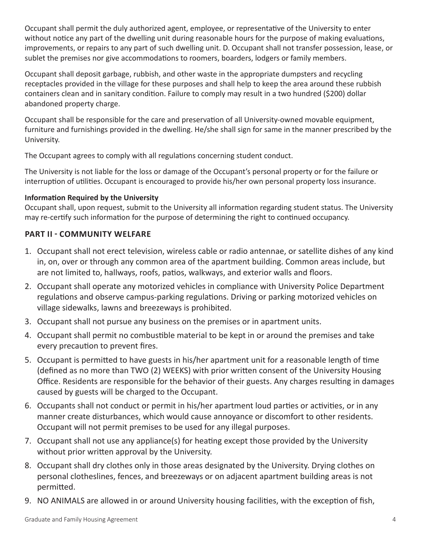Occupant shall permit the duly authorized agent, employee, or representative of the University to enter without notice any part of the dwelling unit during reasonable hours for the purpose of making evaluations, improvements, or repairs to any part of such dwelling unit. D. Occupant shall not transfer possession, lease, or sublet the premises nor give accommodations to roomers, boarders, lodgers or family members.

Occupant shall deposit garbage, rubbish, and other waste in the appropriate dumpsters and recycling receptacles provided in the village for these purposes and shall help to keep the area around these rubbish containers clean and in sanitary condition. Failure to comply may result in a two hundred (\$200) dollar abandoned property charge.

Occupant shall be responsible for the care and preservation of all University-owned movable equipment, furniture and furnishings provided in the dwelling. He/she shall sign for same in the manner prescribed by the University.

The Occupant agrees to comply with all regulations concerning student conduct.

The University is not liable for the loss or damage of the Occupant's personal property or for the failure or interruption of utilities. Occupant is encouraged to provide his/her own personal property loss insurance.

## **Information Required by the University**

Occupant shall, upon request, submit to the University all information regarding student status. The University may re-certify such information for the purpose of determining the right to continued occupancy.

## **PART II - COMMUNITY WELFARE**

- 1. Occupant shall not erect television, wireless cable or radio antennae, or satellite dishes of any kind in, on, over or through any common area of the apartment building. Common areas include, but are not limited to, hallways, roofs, patios, walkways, and exterior walls and floors.
- 2. Occupant shall operate any motorized vehicles in compliance with University Police Department regulations and observe campus-parking regulations. Driving or parking motorized vehicles on village sidewalks, lawns and breezeways is prohibited.
- 3. Occupant shall not pursue any business on the premises or in apartment units.
- 4. Occupant shall permit no combustible material to be kept in or around the premises and take every precaution to prevent fires.
- 5. Occupant is permitted to have guests in his/her apartment unit for a reasonable length of time (defined as no more than TWO (2) WEEKS) with prior written consent of the University Housing Office. Residents are responsible for the behavior of their guests. Any charges resulting in damages caused by guests will be charged to the Occupant.
- 6. Occupants shall not conduct or permit in his/her apartment loud parties or activities, or in any manner create disturbances, which would cause annoyance or discomfort to other residents. Occupant will not permit premises to be used for any illegal purposes.
- 7. Occupant shall not use any appliance(s) for heating except those provided by the University without prior written approval by the University.
- 8. Occupant shall dry clothes only in those areas designated by the University. Drying clothes on personal clotheslines, fences, and breezeways or on adjacent apartment building areas is not permitted.
- 9. NO ANIMALS are allowed in or around University housing facilities, with the exception of fish,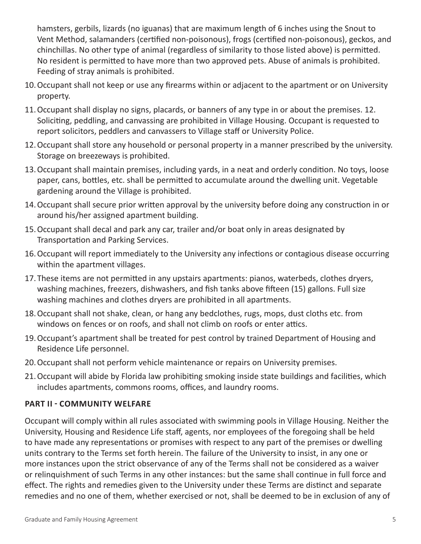hamsters, gerbils, lizards (no iguanas) that are maximum length of 6 inches using the Snout to Vent Method, salamanders (certified non-poisonous), frogs (certified non-poisonous), geckos, and chinchillas. No other type of animal (regardless of similarity to those listed above) is permitted. No resident is permitted to have more than two approved pets. Abuse of animals is prohibited. Feeding of stray animals is prohibited.

- 10.Occupant shall not keep or use any firearms within or adjacent to the apartment or on University property.
- 11.Occupant shall display no signs, placards, or banners of any type in or about the premises. 12. Soliciting, peddling, and canvassing are prohibited in Village Housing. Occupant is requested to report solicitors, peddlers and canvassers to Village staff or University Police.
- 12.Occupant shall store any household or personal property in a manner prescribed by the university. Storage on breezeways is prohibited.
- 13.Occupant shall maintain premises, including yards, in a neat and orderly condition. No toys, loose paper, cans, bottles, etc. shall be permitted to accumulate around the dwelling unit. Vegetable gardening around the Village is prohibited.
- 14.Occupant shall secure prior written approval by the university before doing any construction in or around his/her assigned apartment building.
- 15.Occupant shall decal and park any car, trailer and/or boat only in areas designated by Transportation and Parking Services.
- 16.Occupant will report immediately to the University any infections or contagious disease occurring within the apartment villages.
- 17.These items are not permitted in any upstairs apartments: pianos, waterbeds, clothes dryers, washing machines, freezers, dishwashers, and fish tanks above fifteen (15) gallons. Full size washing machines and clothes dryers are prohibited in all apartments.
- 18.Occupant shall not shake, clean, or hang any bedclothes, rugs, mops, dust cloths etc. from windows on fences or on roofs, and shall not climb on roofs or enter attics.
- 19.Occupant's apartment shall be treated for pest control by trained Department of Housing and Residence Life personnel.
- 20.Occupant shall not perform vehicle maintenance or repairs on University premises.
- 21.Occupant will abide by Florida law prohibiting smoking inside state buildings and facilities, which includes apartments, commons rooms, offices, and laundry rooms.

## **PART II - COMMUNITY WELFARE**

Occupant will comply within all rules associated with swimming pools in Village Housing. Neither the University, Housing and Residence Life staff, agents, nor employees of the foregoing shall be held to have made any representations or promises with respect to any part of the premises or dwelling units contrary to the Terms set forth herein. The failure of the University to insist, in any one or more instances upon the strict observance of any of the Terms shall not be considered as a waiver or relinquishment of such Terms in any other instances: but the same shall continue in full force and effect. The rights and remedies given to the University under these Terms are distinct and separate remedies and no one of them, whether exercised or not, shall be deemed to be in exclusion of any of